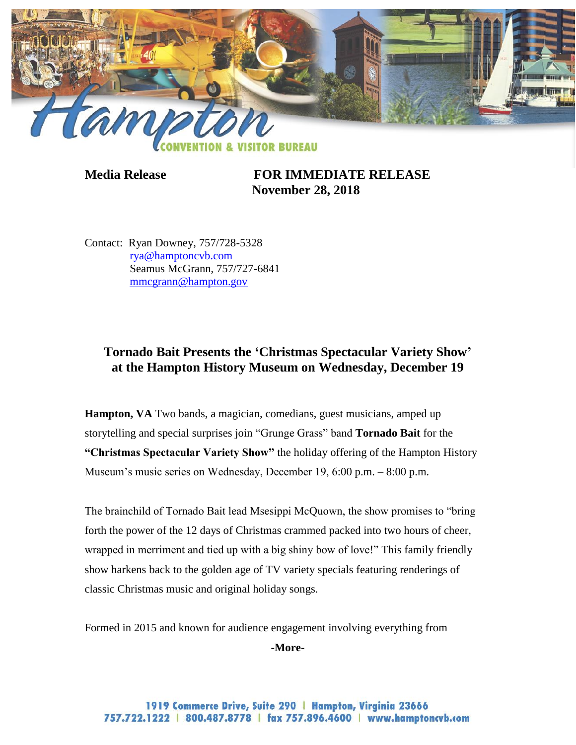

**Media Release FOR IMMEDIATE RELEASE November 28, 2018**

Contact: Ryan Downey, 757/728-5328 [rya@hamptoncvb.com](mailto:rya@hamptoncvb.com) Seamus McGrann, 757/727-6841 [mmcgrann@hampton.gov](mailto:mmcgrann@hampton.gov)

## **Tornado Bait Presents the 'Christmas Spectacular Variety Show' at the Hampton History Museum on Wednesday, December 19**

**Hampton, VA** Two bands, a magician, comedians, guest musicians, amped up storytelling and special surprises join "Grunge Grass" band **Tornado Bait** for the **"Christmas Spectacular Variety Show"** the holiday offering of the Hampton History Museum's music series on Wednesday, December 19, 6:00 p.m. – 8:00 p.m.

The brainchild of Tornado Bait lead Msesippi McQuown, the show promises to "bring forth the power of the 12 days of Christmas crammed packed into two hours of cheer, wrapped in merriment and tied up with a big shiny bow of love!" This family friendly show harkens back to the golden age of TV variety specials featuring renderings of classic Christmas music and original holiday songs.

Formed in 2015 and known for audience engagement involving everything from

**-More-**

1919 Commerce Drive, Suite 290 | Hampton, Virginia 23666 757.722.1222 | 800.487.8778 | fax 757.896.4600 | www.hamptoncvb.com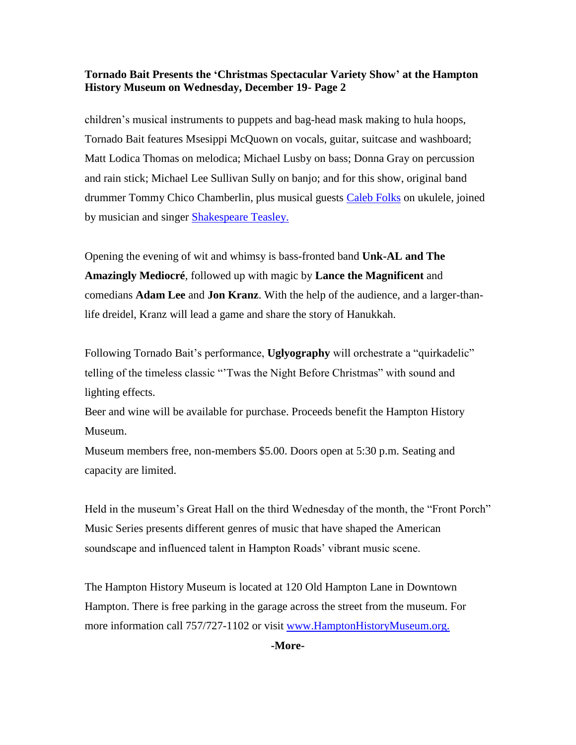## **Tornado Bait Presents the 'Christmas Spectacular Variety Show' at the Hampton History Museum on Wednesday, December 19- Page 2**

children's musical instruments to puppets and bag-head mask making to hula hoops, Tornado Bait features Msesippi McQuown on vocals, guitar, suitcase and washboard; Matt Lodica Thomas on melodica; Michael Lusby on bass; Donna Gray on percussion and rain stick; Michael Lee Sullivan Sully on banjo; and for this show, original band drummer Tommy Chico Chamberlin, plus musical guests [Caleb Folks](https://www.facebook.com/calebtfolks) on ukulele, joined by musician and singer **Shakespeare Teasley**.

Opening the evening of wit and whimsy is bass-fronted band **Unk-AL and The Amazingly Mediocré**, followed up with magic by **Lance the Magnificent** and comedians **Adam Lee** and **Jon Kranz**. With the help of the audience, and a larger-thanlife dreidel, Kranz will lead a game and share the story of Hanukkah.

Following Tornado Bait's performance, **Uglyography** will orchestrate a "quirkadelic" telling of the timeless classic "'Twas the Night Before Christmas" with sound and lighting effects.

Beer and wine will be available for purchase. Proceeds benefit the Hampton History Museum.

Museum members free, non-members \$5.00. Doors open at 5:30 p.m. Seating and capacity are limited.

Held in the museum's Great Hall on the third Wednesday of the month, the "Front Porch" Music Series presents different genres of music that have shaped the American soundscape and influenced talent in Hampton Roads' vibrant music scene.

The Hampton History Museum is located at 120 Old Hampton Lane in Downtown Hampton. There is free parking in the garage across the street from the museum. For more information call 757/727-1102 or visit [www.HamptonHistoryMuseum.org.](http://www.hamptonhistorymuseum.org/)

**-More-**